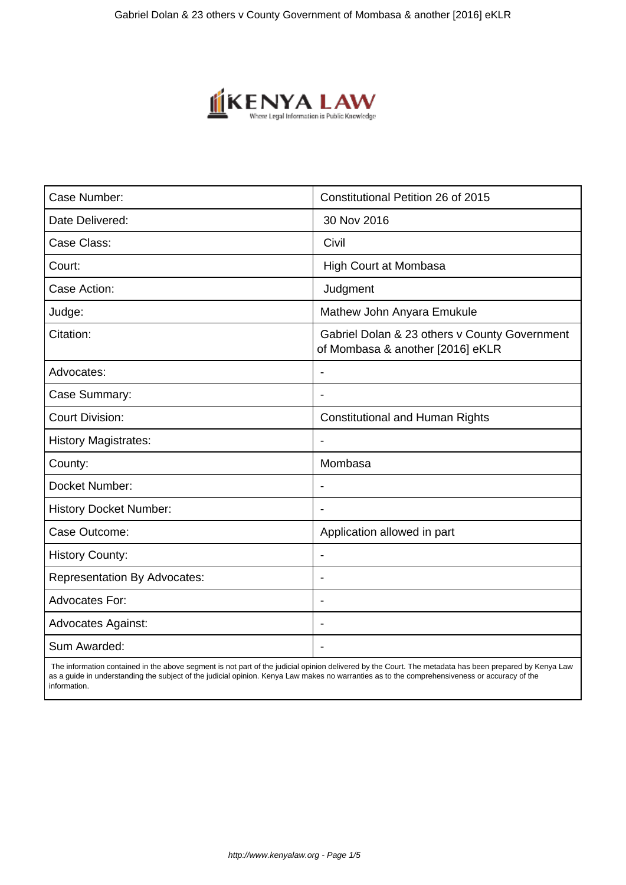

| Case Number:                        | Constitutional Petition 26 of 2015                                                |
|-------------------------------------|-----------------------------------------------------------------------------------|
| Date Delivered:                     | 30 Nov 2016                                                                       |
| Case Class:                         | Civil                                                                             |
| Court:                              | High Court at Mombasa                                                             |
| Case Action:                        | Judgment                                                                          |
| Judge:                              | Mathew John Anyara Emukule                                                        |
| Citation:                           | Gabriel Dolan & 23 others v County Government<br>of Mombasa & another [2016] eKLR |
| Advocates:                          |                                                                                   |
| Case Summary:                       |                                                                                   |
| <b>Court Division:</b>              | <b>Constitutional and Human Rights</b>                                            |
| <b>History Magistrates:</b>         | $\blacksquare$                                                                    |
| County:                             | Mombasa                                                                           |
| Docket Number:                      |                                                                                   |
| <b>History Docket Number:</b>       |                                                                                   |
| Case Outcome:                       | Application allowed in part                                                       |
| <b>History County:</b>              | $\blacksquare$                                                                    |
| <b>Representation By Advocates:</b> | ۰                                                                                 |
| Advocates For:                      | ۰                                                                                 |
| <b>Advocates Against:</b>           |                                                                                   |
| Sum Awarded:                        |                                                                                   |

 The information contained in the above segment is not part of the judicial opinion delivered by the Court. The metadata has been prepared by Kenya Law as a guide in understanding the subject of the judicial opinion. Kenya Law makes no warranties as to the comprehensiveness or accuracy of the information.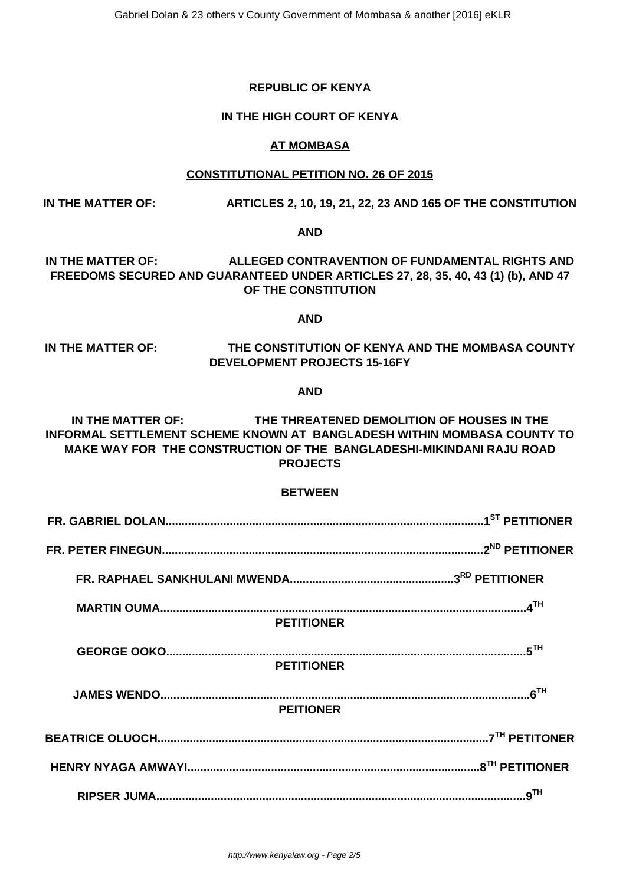### **REPUBLIC OF KENYA**

### **IN THE HIGH COURT OF KENYA**

#### **AT MOMBASA**

#### **CONSTITUTIONAL PETITION NO. 26 OF 2015**

### **IN THE MATTER OF: ARTICLES 2, 10, 19, 21, 22, 23 AND 165 OF THE CONSTITUTION**

#### **AND**

## **IN THE MATTER OF: ALLEGED CONTRAVENTION OF FUNDAMENTAL RIGHTS AND FREEDOMS SECURED AND GUARANTEED UNDER ARTICLES 27, 28, 35, 40, 43 (1) (b), AND 47 OF THE CONSTITUTION**

#### **AND**

## **IN THE MATTER OF: THE CONSTITUTION OF KENYA AND THE MOMBASA COUNTY DEVELOPMENT PROJECTS 15-16FY**

#### **AND**

**IN THE MATTER OF: THE THREATENED DEMOLITION OF HOUSES IN THE INFORMAL SETTLEMENT SCHEME KNOWN AT BANGLADESH WITHIN MOMBASA COUNTY TO MAKE WAY FOR THE CONSTRUCTION OF THE BANGLADESHI-MIKINDANI RAJU ROAD PROJECTS**

#### **BETWEEN**

| <b>PETITIONER</b> |                 |
|-------------------|-----------------|
|                   |                 |
| <b>PETITIONER</b> |                 |
|                   |                 |
| <b>PEITIONER</b>  |                 |
|                   |                 |
|                   |                 |
|                   | 9 <sup>TH</sup> |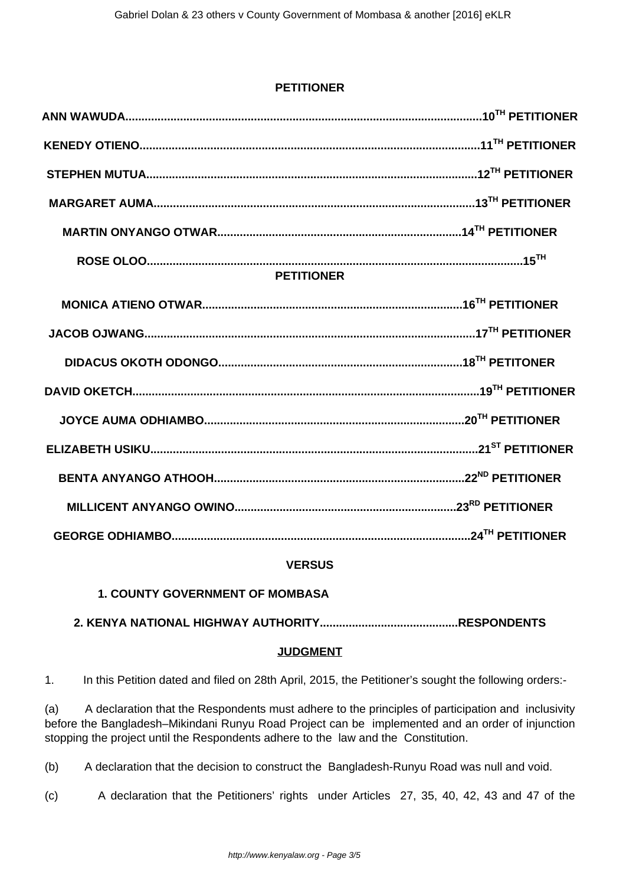## **PETITIONER**

| <b>PETITIONER</b> |  |  |
|-------------------|--|--|
|                   |  |  |
|                   |  |  |
|                   |  |  |
|                   |  |  |
|                   |  |  |
|                   |  |  |
|                   |  |  |
|                   |  |  |
|                   |  |  |

# **VERSUS**

# **1. COUNTY GOVERNMENT OF MOMBASA**

**2. KENYA NATIONAL HIGHWAY AUTHORITY...........................................RESPONDENTS**

## **JUDGMENT**

1. In this Petition dated and filed on 28th April, 2015, the Petitioner's sought the following orders:-

(a) A declaration that the Respondents must adhere to the principles of participation and inclusivity before the Bangladesh–Mikindani Runyu Road Project can be implemented and an order of injunction stopping the project until the Respondents adhere to the law and the Constitution.

(b) A declaration that the decision to construct the Bangladesh-Runyu Road was null and void.

(c) A declaration that the Petitioners' rights under Articles 27, 35, 40, 42, 43 and 47 of the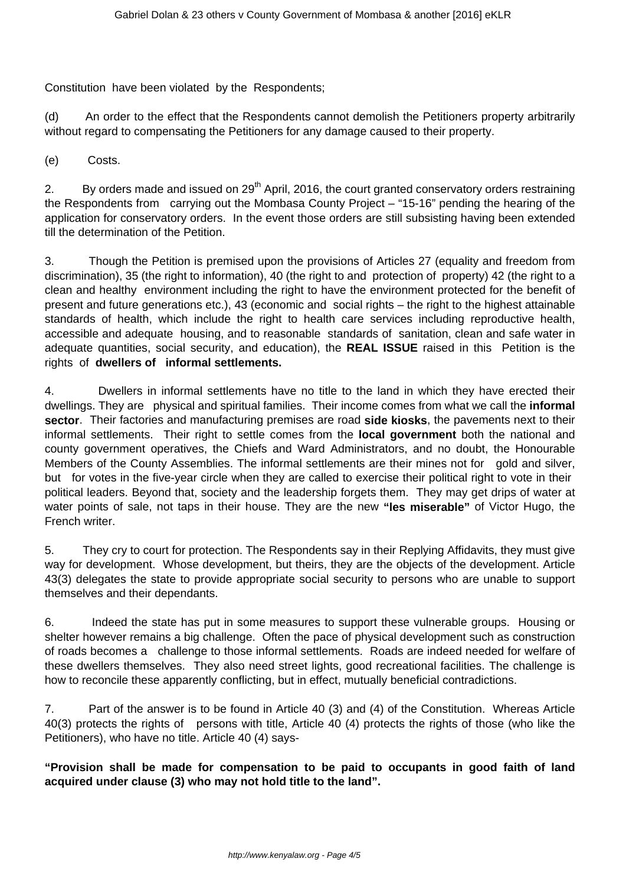Constitution have been violated by the Respondents;

(d) An order to the effect that the Respondents cannot demolish the Petitioners property arbitrarily without regard to compensating the Petitioners for any damage caused to their property.

(e) Costs.

2. By orders made and issued on  $29<sup>th</sup>$  April, 2016, the court granted conservatory orders restraining the Respondents from carrying out the Mombasa County Project – "15-16" pending the hearing of the application for conservatory orders. In the event those orders are still subsisting having been extended till the determination of the Petition.

3. Though the Petition is premised upon the provisions of Articles 27 (equality and freedom from discrimination), 35 (the right to information), 40 (the right to and protection of property) 42 (the right to a clean and healthy environment including the right to have the environment protected for the benefit of present and future generations etc.), 43 (economic and social rights – the right to the highest attainable standards of health, which include the right to health care services including reproductive health, accessible and adequate housing, and to reasonable standards of sanitation, clean and safe water in adequate quantities, social security, and education), the **REAL ISSUE** raised in this Petition is the rights of **dwellers of informal settlements.**

4. Dwellers in informal settlements have no title to the land in which they have erected their dwellings. They are physical and spiritual families. Their income comes from what we call the **informal sector**. Their factories and manufacturing premises are road **side kiosks**, the pavements next to their informal settlements. Their right to settle comes from the **local government** both the national and county government operatives, the Chiefs and Ward Administrators, and no doubt, the Honourable Members of the County Assemblies. The informal settlements are their mines not for gold and silver, but for votes in the five-year circle when they are called to exercise their political right to vote in their political leaders. Beyond that, society and the leadership forgets them. They may get drips of water at water points of sale, not taps in their house. They are the new **"les miserable"** of Victor Hugo, the French writer.

5. They cry to court for protection. The Respondents say in their Replying Affidavits, they must give way for development. Whose development, but theirs, they are the objects of the development. Article 43(3) delegates the state to provide appropriate social security to persons who are unable to support themselves and their dependants.

6. Indeed the state has put in some measures to support these vulnerable groups. Housing or shelter however remains a big challenge. Often the pace of physical development such as construction of roads becomes a challenge to those informal settlements. Roads are indeed needed for welfare of these dwellers themselves. They also need street lights, good recreational facilities. The challenge is how to reconcile these apparently conflicting, but in effect, mutually beneficial contradictions.

7. Part of the answer is to be found in Article 40 (3) and (4) of the Constitution. Whereas Article 40(3) protects the rights of persons with title, Article 40 (4) protects the rights of those (who like the Petitioners), who have no title. Article 40 (4) says-

**"Provision shall be made for compensation to be paid to occupants in good faith of land acquired under clause (3) who may not hold title to the land".**